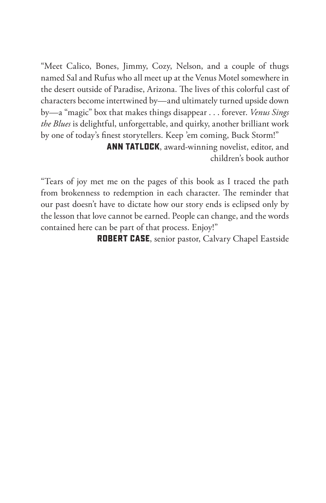"Meet Calico, Bones, Jimmy, Cozy, Nelson, and a couple of thugs named Sal and Rufus who all meet up at the Venus Motel somewhere in the desert outside of Paradise, Arizona. The lives of this colorful cast of characters become intertwined by—and ultimately turned upside down by—a "magic" box that makes things disappear . . . forever. *Venus Sings the Blues* is delightful, unforgettable, and quirky, another brilliant work by one of today's finest storytellers. Keep 'em coming, Buck Storm!"

> **Ann Tatlock**, award-winning novelist, editor, and children's book author

"Tears of joy met me on the pages of this book as I traced the path from brokenness to redemption in each character. The reminder that our past doesn't have to dictate how our story ends is eclipsed only by the lesson that love cannot be earned. People can change, and the words contained here can be part of that process. Enjoy!"

**Robert Case**, senior pastor, Calvary Chapel Eastside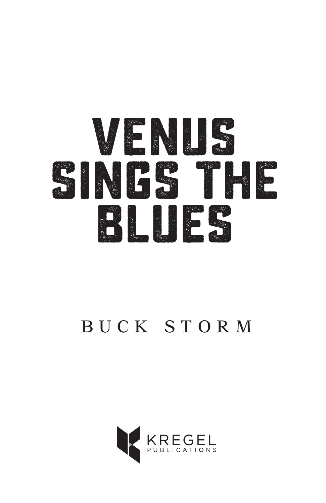

# BUCK STORM

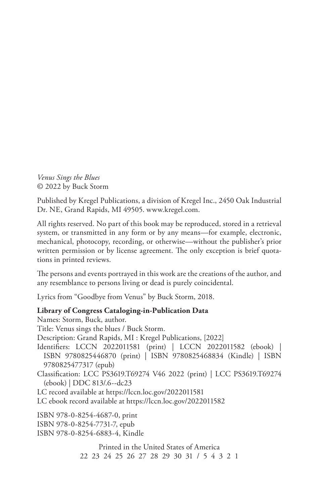*Venus Sings the Blues* © 2022 by Buck Storm

Published by Kregel Publications, a division of Kregel Inc., 2450 Oak Industrial Dr. NE, Grand Rapids, MI 49505. www.kregel.com.

All rights reserved. No part of this book may be reproduced, stored in a retrieval system, or transmitted in any form or by any means—for example, electronic, mechanical, photocopy, recording, or otherwise—without the publisher's prior written permission or by license agreement. The only exception is brief quotations in printed reviews.

The persons and events portrayed in this work are the creations of the author, and any resemblance to persons living or dead is purely coincidental.

Lyrics from "Goodbye from Venus" by Buck Storm, 2018.

### **Library of Congress Cataloging-in-Publication Data**

Names: Storm, Buck, author. Title: Venus sings the blues / Buck Storm. Description: Grand Rapids, MI : Kregel Publications, [2022] Identifiers: LCCN 2022011581 (print) | LCCN 2022011582 (ebook) | ISBN 9780825446870 (print) | ISBN 9780825468834 (Kindle) | ISBN 9780825477317 (epub) Classification: LCC PS3619.T69274 V46 2022 (print) | LCC PS3619.T69274 (ebook) | DDC 813/.6--dc23 LC record available at https://lccn.loc.gov/2022011581 LC ebook record available at https://lccn.loc.gov/2022011582 ISBN 978-0-8254-4687-0, print ISBN 978-0-8254-7731-7, epub ISBN 978-0-8254-6883-4, Kindle

> Printed in the United States of America 22 23 24 25 26 27 28 29 30 31 / 5 4 3 2 1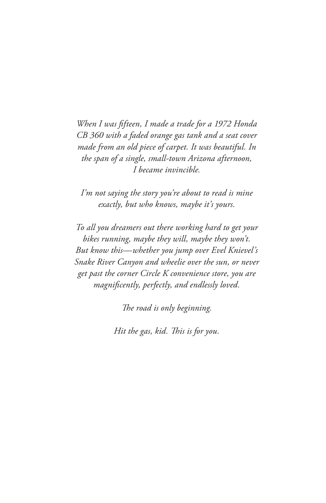*When I was fifteen, I made a trade for a 1972 Honda CB 360 with a faded orange gas tank and a seat cover made from an old piece of carpet. It was beautiful. In the span of a single, small-town Arizona afternoon, I became invincible.*

*I'm not saying the story you're about to read is mine exactly, but who knows, maybe it's yours.*

*To all you dreamers out there working hard to get your bikes running, maybe they will, maybe they won't. But know this—whether you jump over Evel Knievel's Snake River Canyon and wheelie over the sun, or never get past the corner Circle K convenience store, you are magnificently, perfectly, and endlessly loved.*

*The road is only beginning.*

*Hit the gas, kid. This is for you.*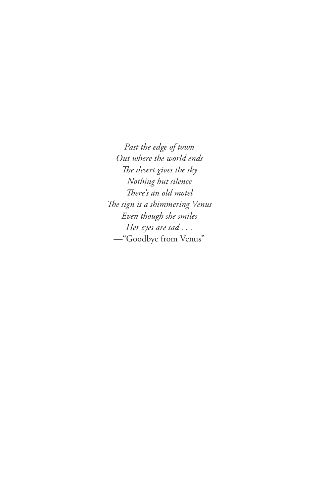*Past the edge of town Out where the world ends The desert gives the sky Nothing but silence There's an old motel The sign is a shimmering Venus Even though she smiles Her eyes are sad . . .* —"Goodbye from Venus"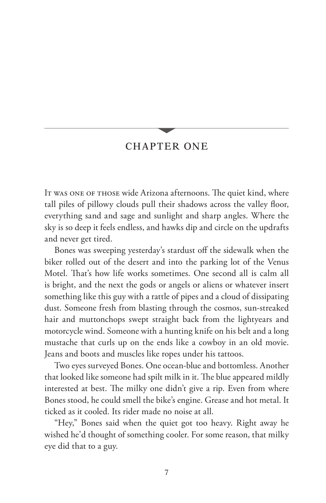## CHAPTER ONE

It was one of those wide Arizona afternoons. The quiet kind, where tall piles of pillowy clouds pull their shadows across the valley floor, everything sand and sage and sunlight and sharp angles. Where the sky is so deep it feels endless, and hawks dip and circle on the updrafts and never get tired.

Bones was sweeping yesterday's stardust off the sidewalk when the biker rolled out of the desert and into the parking lot of the Venus Motel. That's how life works sometimes. One second all is calm all is bright, and the next the gods or angels or aliens or whatever insert something like this guy with a rattle of pipes and a cloud of dissipating dust. Someone fresh from blasting through the cosmos, sun-streaked hair and muttonchops swept straight back from the lightyears and motorcycle wind. Someone with a hunting knife on his belt and a long mustache that curls up on the ends like a cowboy in an old movie. Jeans and boots and muscles like ropes under his tattoos.

Two eyes surveyed Bones. One ocean-blue and bottomless. Another that looked like someone had spilt milk in it. The blue appeared mildly interested at best. The milky one didn't give a rip. Even from where Bones stood, he could smell the bike's engine. Grease and hot metal. It ticked as it cooled. Its rider made no noise at all.

"Hey," Bones said when the quiet got too heavy. Right away he wished he'd thought of something cooler. For some reason, that milky eye did that to a guy.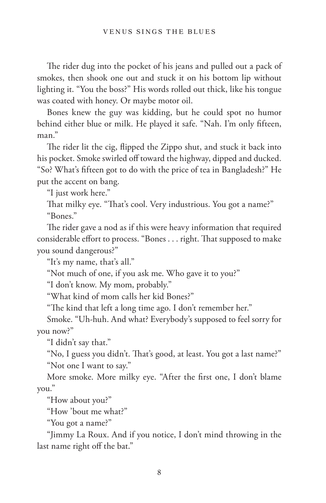The rider dug into the pocket of his jeans and pulled out a pack of smokes, then shook one out and stuck it on his bottom lip without lighting it. "You the boss?" His words rolled out thick, like his tongue was coated with honey. Or maybe motor oil.

Bones knew the guy was kidding, but he could spot no humor behind either blue or milk. He played it safe. "Nah. I'm only fifteen, man."

The rider lit the cig, flipped the Zippo shut, and stuck it back into his pocket. Smoke swirled off toward the highway, dipped and ducked. "So? What's fifteen got to do with the price of tea in Bangladesh?" He put the accent on bang.

"I just work here."

That milky eye. "That's cool. Very industrious. You got a name?" "Bones."

The rider gave a nod as if this were heavy information that required considerable effort to process. "Bones . . . right. That supposed to make you sound dangerous?"

"It's my name, that's all."

"Not much of one, if you ask me. Who gave it to you?"

"I don't know. My mom, probably."

"What kind of mom calls her kid Bones?"

"The kind that left a long time ago. I don't remember her."

Smoke. "Uh-huh. And what? Everybody's supposed to feel sorry for you now?"

"I didn't say that."

"No, I guess you didn't. That's good, at least. You got a last name?" "Not one I want to say."

More smoke. More milky eye. "After the first one, I don't blame you."

"How about you?"

"How 'bout me what?"

"You got a name?"

"Jimmy La Roux. And if you notice, I don't mind throwing in the last name right off the bat."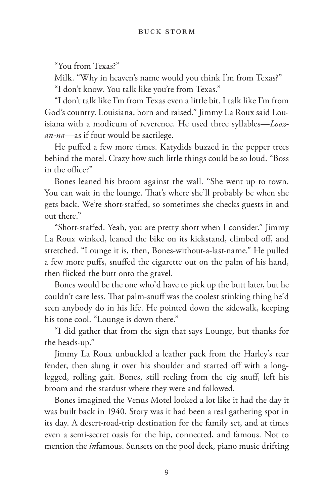"You from Texas?"

Milk. "Why in heaven's name would you think I'm from Texas?" "I don't know. You talk like you're from Texas."

"I don't talk like I'm from Texas even a little bit. I talk like I'm from God's country. Louisiana, born and raised." Jimmy La Roux said Louisiana with a modicum of reverence. He used three syllables—*Loozan-na*—as if four would be sacrilege.

He puffed a few more times. Katydids buzzed in the pepper trees behind the motel. Crazy how such little things could be so loud. "Boss in the office?"

Bones leaned his broom against the wall. "She went up to town. You can wait in the lounge. That's where she'll probably be when she gets back. We're short-staffed, so sometimes she checks guests in and out there."

"Short-staffed. Yeah, you are pretty short when I consider." Jimmy La Roux winked, leaned the bike on its kickstand, climbed off, and stretched. "Lounge it is, then, Bones-without-a-last-name." He pulled a few more puffs, snuffed the cigarette out on the palm of his hand, then flicked the butt onto the gravel.

Bones would be the one who'd have to pick up the butt later, but he couldn't care less. That palm-snuff was the coolest stinking thing he'd seen anybody do in his life. He pointed down the sidewalk, keeping his tone cool. "Lounge is down there."

"I did gather that from the sign that says Lounge, but thanks for the heads-up."

Jimmy La Roux unbuckled a leather pack from the Harley's rear fender, then slung it over his shoulder and started off with a longlegged, rolling gait. Bones, still reeling from the cig snuff, left his broom and the stardust where they were and followed.

Bones imagined the Venus Motel looked a lot like it had the day it was built back in 1940. Story was it had been a real gathering spot in its day. A desert-road-trip destination for the family set, and at times even a semi-secret oasis for the hip, connected, and famous. Not to mention the *in*famous. Sunsets on the pool deck, piano music drifting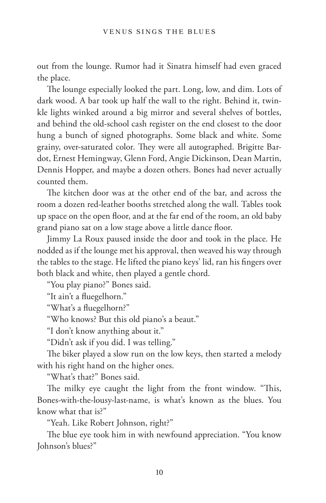out from the lounge. Rumor had it Sinatra himself had even graced the place.

The lounge especially looked the part. Long, low, and dim. Lots of dark wood. A bar took up half the wall to the right. Behind it, twinkle lights winked around a big mirror and several shelves of bottles, and behind the old-school cash register on the end closest to the door hung a bunch of signed photographs. Some black and white. Some grainy, over-saturated color. They were all autographed. Brigitte Bardot, Ernest Hemingway, Glenn Ford, Angie Dickinson, Dean Martin, Dennis Hopper, and maybe a dozen others. Bones had never actually counted them.

The kitchen door was at the other end of the bar, and across the room a dozen red-leather booths stretched along the wall. Tables took up space on the open floor, and at the far end of the room, an old baby grand piano sat on a low stage above a little dance floor.

Jimmy La Roux paused inside the door and took in the place. He nodded as if the lounge met his approval, then weaved his way through the tables to the stage. He lifted the piano keys' lid, ran his fingers over both black and white, then played a gentle chord.

"You play piano?" Bones said.

"It ain't a fluegelhorn."

"What's a fluegelhorn?"

"Who knows? But this old piano's a beaut."

"I don't know anything about it."

"Didn't ask if you did. I was telling."

The biker played a slow run on the low keys, then started a melody with his right hand on the higher ones.

"What's that?" Bones said.

The milky eye caught the light from the front window. "This, Bones-with-the-lousy-last-name, is what's known as the blues. You know what that is?"

"Yeah. Like Robert Johnson, right?"

The blue eye took him in with newfound appreciation. "You know Johnson's blues?"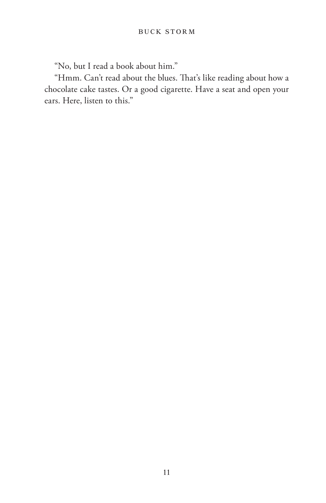"No, but I read a book about him."

"Hmm. Can't read about the blues. That's like reading about how a chocolate cake tastes. Or a good cigarette. Have a seat and open your ears. Here, listen to this."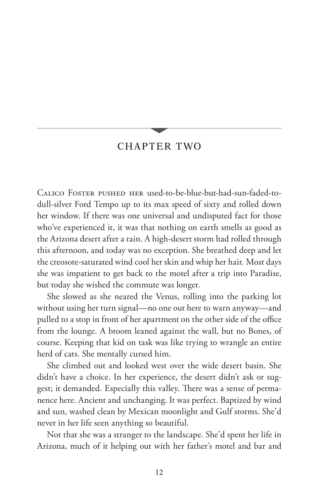## CHAPTER TWO

Calico Foster pushed her used-to-be-blue-but-had-sun-faded-todull-silver Ford Tempo up to its max speed of sixty and rolled down her window. If there was one universal and undisputed fact for those who've experienced it, it was that nothing on earth smells as good as the Arizona desert after a rain. A high-desert storm had rolled through this afternoon, and today was no exception. She breathed deep and let the creosote-saturated wind cool her skin and whip her hair. Most days she was impatient to get back to the motel after a trip into Paradise, but today she wished the commute was longer.

She slowed as she neared the Venus, rolling into the parking lot without using her turn signal—no one out here to warn anyway—and pulled to a stop in front of her apartment on the other side of the office from the lounge. A broom leaned against the wall, but no Bones, of course. Keeping that kid on task was like trying to wrangle an entire herd of cats. She mentally cursed him.

She climbed out and looked west over the wide desert basin. She didn't have a choice. In her experience, the desert didn't ask or suggest; it demanded. Especially this valley. There was a sense of permanence here. Ancient and unchanging. It was perfect. Baptized by wind and sun, washed clean by Mexican moonlight and Gulf storms. She'd never in her life seen anything so beautiful.

Not that she was a stranger to the landscape. She'd spent her life in Arizona, much of it helping out with her father's motel and bar and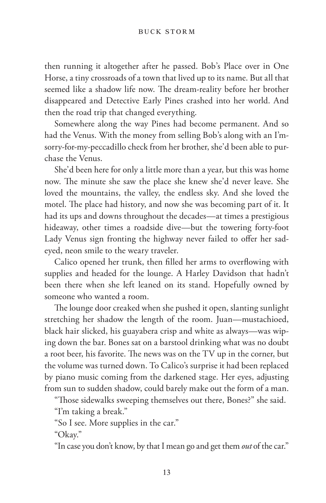#### BUCK STORM

then running it altogether after he passed. Bob's Place over in One Horse, a tiny crossroads of a town that lived up to its name. But all that seemed like a shadow life now. The dream-reality before her brother disappeared and Detective Early Pines crashed into her world. And then the road trip that changed everything.

Somewhere along the way Pines had become permanent. And so had the Venus. With the money from selling Bob's along with an I'msorry-for-my-peccadillo check from her brother, she'd been able to purchase the Venus.

She'd been here for only a little more than a year, but this was home now. The minute she saw the place she knew she'd never leave. She loved the mountains, the valley, the endless sky. And she loved the motel. The place had history, and now she was becoming part of it. It had its ups and downs throughout the decades—at times a prestigious hideaway, other times a roadside dive—but the towering forty-foot Lady Venus sign fronting the highway never failed to offer her sadeyed, neon smile to the weary traveler.

Calico opened her trunk, then filled her arms to overflowing with supplies and headed for the lounge. A Harley Davidson that hadn't been there when she left leaned on its stand. Hopefully owned by someone who wanted a room.

The lounge door creaked when she pushed it open, slanting sunlight stretching her shadow the length of the room. Juan—mustachioed, black hair slicked, his guayabera crisp and white as always—was wiping down the bar. Bones sat on a barstool drinking what was no doubt a root beer, his favorite. The news was on the TV up in the corner, but the volume was turned down. To Calico's surprise it had been replaced by piano music coming from the darkened stage. Her eyes, adjusting from sun to sudden shadow, could barely make out the form of a man.

"Those sidewalks sweeping themselves out there, Bones?" she said.

"I'm taking a break."

"So I see. More supplies in the car."

"Okay."

"In case you don't know, by that I mean go and get them *out* of the car."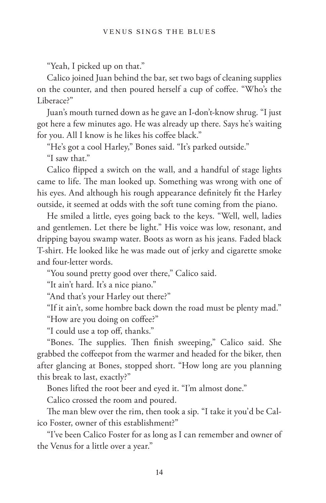"Yeah, I picked up on that."

Calico joined Juan behind the bar, set two bags of cleaning supplies on the counter, and then poured herself a cup of coffee. "Who's the Liberace?"

Juan's mouth turned down as he gave an I-don't-know shrug. "I just got here a few minutes ago. He was already up there. Says he's waiting for you. All I know is he likes his coffee black."

"He's got a cool Harley," Bones said. "It's parked outside."

"I saw that."

Calico flipped a switch on the wall, and a handful of stage lights came to life. The man looked up. Something was wrong with one of his eyes. And although his rough appearance definitely fit the Harley outside, it seemed at odds with the soft tune coming from the piano.

He smiled a little, eyes going back to the keys. "Well, well, ladies and gentlemen. Let there be light." His voice was low, resonant, and dripping bayou swamp water. Boots as worn as his jeans. Faded black T-shirt. He looked like he was made out of jerky and cigarette smoke and four-letter words.

"You sound pretty good over there," Calico said.

"It ain't hard. It's a nice piano."

"And that's your Harley out there?"

"If it ain't, some hombre back down the road must be plenty mad."

"How are you doing on coffee?"

"I could use a top off, thanks."

"Bones. The supplies. Then finish sweeping," Calico said. She grabbed the coffeepot from the warmer and headed for the biker, then after glancing at Bones, stopped short. "How long are you planning this break to last, exactly?"

Bones lifted the root beer and eyed it. "I'm almost done."

Calico crossed the room and poured.

The man blew over the rim, then took a sip. "I take it you'd be Calico Foster, owner of this establishment?"

"I've been Calico Foster for as long as I can remember and owner of the Venus for a little over a year."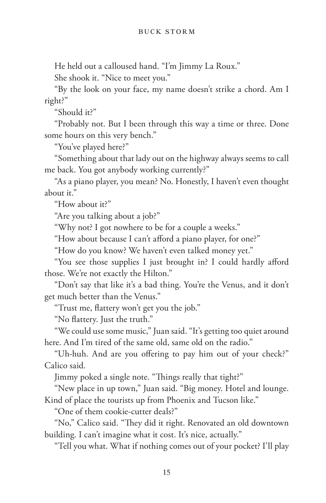He held out a calloused hand. "I'm Jimmy La Roux."

She shook it. "Nice to meet you."

"By the look on your face, my name doesn't strike a chord. Am I right?"

"Should it?"

"Probably not. But I been through this way a time or three. Done some hours on this very bench."

"You've played here?"

"Something about that lady out on the highway always seems to call me back. You got anybody working currently?"

"As a piano player, you mean? No. Honestly, I haven't even thought about it."

"How about it?"

"Are you talking about a job?"

"Why not? I got nowhere to be for a couple a weeks."

"How about because I can't afford a piano player, for one?"

"How do you know? We haven't even talked money yet."

"You see those supplies I just brought in? I could hardly afford those. We're not exactly the Hilton."

"Don't say that like it's a bad thing. You're the Venus, and it don't get much better than the Venus."

"Trust me, flattery won't get you the job."

"No flattery. Just the truth."

"We could use some music," Juan said. "It's getting too quiet around here. And I'm tired of the same old, same old on the radio."

"Uh-huh. And are you offering to pay him out of your check?" Calico said.

Jimmy poked a single note. "Things really that tight?"

"New place in up town," Juan said. "Big money. Hotel and lounge. Kind of place the tourists up from Phoenix and Tucson like."

"One of them cookie-cutter deals?"

"No," Calico said. "They did it right. Renovated an old downtown building. I can't imagine what it cost. It's nice, actually."

"Tell you what. What if nothing comes out of your pocket? I'll play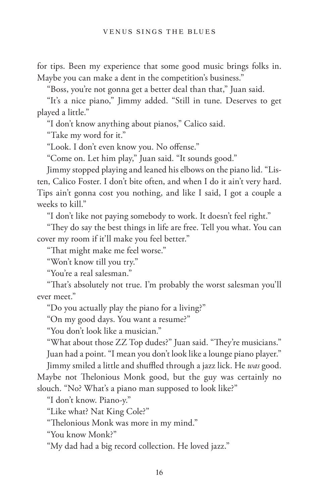for tips. Been my experience that some good music brings folks in. Maybe you can make a dent in the competition's business."

"Boss, you're not gonna get a better deal than that," Juan said.

"It's a nice piano," Jimmy added. "Still in tune. Deserves to get played a little."

"I don't know anything about pianos," Calico said.

"Take my word for it."

"Look. I don't even know you. No offense."

"Come on. Let him play," Juan said. "It sounds good."

Jimmy stopped playing and leaned his elbows on the piano lid. "Listen, Calico Foster. I don't bite often, and when I do it ain't very hard. Tips ain't gonna cost you nothing, and like I said, I got a couple a weeks to kill."

"I don't like not paying somebody to work. It doesn't feel right."

"They do say the best things in life are free. Tell you what. You can cover my room if it'll make you feel better."

"That might make me feel worse."

"Won't know till you try."

"You're a real salesman."

"That's absolutely not true. I'm probably the worst salesman you'll ever meet."

"Do you actually play the piano for a living?"

"On my good days. You want a resume?"

"You don't look like a musician."

"What about those ZZ Top dudes?" Juan said. "They're musicians." Juan had a point. "I mean you don't look like a lounge piano player."

Jimmy smiled a little and shuffled through a jazz lick. He *was* good. Maybe not Thelonious Monk good, but the guy was certainly no

slouch. "No? What's a piano man supposed to look like?"

"I don't know. Piano-y."

"Like what? Nat King Cole?"

"Thelonious Monk was more in my mind."

"You know Monk?"

"My dad had a big record collection. He loved jazz."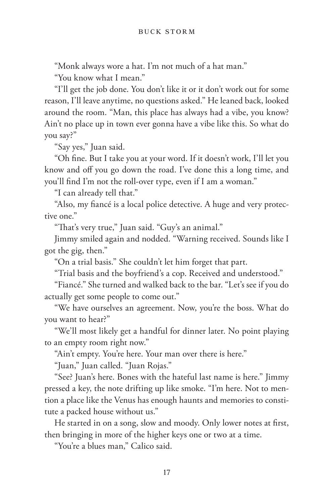"Monk always wore a hat. I'm not much of a hat man."

"You know what I mean."

"I'll get the job done. You don't like it or it don't work out for some reason, I'll leave anytime, no questions asked." He leaned back, looked around the room. "Man, this place has always had a vibe, you know? Ain't no place up in town ever gonna have a vibe like this. So what do you say?"

"Say yes," Juan said.

"Oh fine. But I take you at your word. If it doesn't work, I'll let you know and off you go down the road. I've done this a long time, and you'll find I'm not the roll-over type, even if I am a woman."

"I can already tell that."

"Also, my fiancé is a local police detective. A huge and very protective one."

"That's very true," Juan said. "Guy's an animal."

Jimmy smiled again and nodded. "Warning received. Sounds like I got the gig, then."

"On a trial basis." She couldn't let him forget that part.

"Trial basis and the boyfriend's a cop. Received and understood."

"Fiancé." She turned and walked back to the bar. "Let's see if you do actually get some people to come out."

"We have ourselves an agreement. Now, you're the boss. What do you want to hear?"

"We'll most likely get a handful for dinner later. No point playing to an empty room right now."

"Ain't empty. You're here. Your man over there is here."

"Juan," Juan called. "Juan Rojas."

"See? Juan's here. Bones with the hateful last name is here." Jimmy pressed a key, the note drifting up like smoke. "I'm here. Not to mention a place like the Venus has enough haunts and memories to constitute a packed house without us."

He started in on a song, slow and moody. Only lower notes at first, then bringing in more of the higher keys one or two at a time.

"You're a blues man," Calico said.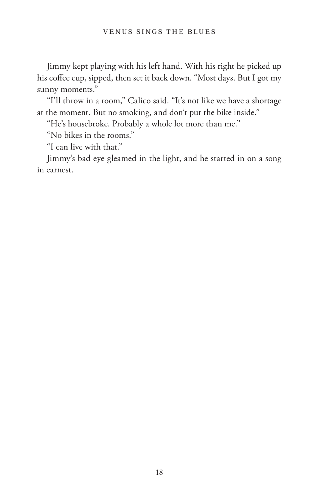Jimmy kept playing with his left hand. With his right he picked up his coffee cup, sipped, then set it back down. "Most days. But I got my sunny moments."

"I'll throw in a room," Calico said. "It's not like we have a shortage at the moment. But no smoking, and don't put the bike inside."

"He's housebroke. Probably a whole lot more than me."

"No bikes in the rooms."

"I can live with that."

Jimmy's bad eye gleamed in the light, and he started in on a song in earnest.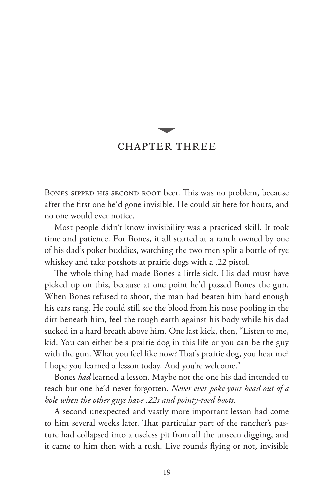## CHAPTER THREE

Bones sipped his second root beer. This was no problem, because after the first one he'd gone invisible. He could sit here for hours, and no one would ever notice.

Most people didn't know invisibility was a practiced skill. It took time and patience. For Bones, it all started at a ranch owned by one of his dad's poker buddies, watching the two men split a bottle of rye whiskey and take potshots at prairie dogs with a .22 pistol.

The whole thing had made Bones a little sick. His dad must have picked up on this, because at one point he'd passed Bones the gun. When Bones refused to shoot, the man had beaten him hard enough his ears rang. He could still see the blood from his nose pooling in the dirt beneath him, feel the rough earth against his body while his dad sucked in a hard breath above him. One last kick, then, "Listen to me, kid. You can either be a prairie dog in this life or you can be the guy with the gun. What you feel like now? That's prairie dog, you hear me? I hope you learned a lesson today. And you're welcome."

Bones *had* learned a lesson. Maybe not the one his dad intended to teach but one he'd never forgotten. *Never ever poke your head out of a hole when the other guys have .22s and pointy-toed boots.*

A second unexpected and vastly more important lesson had come to him several weeks later. That particular part of the rancher's pasture had collapsed into a useless pit from all the unseen digging, and it came to him then with a rush. Live rounds flying or not, invisible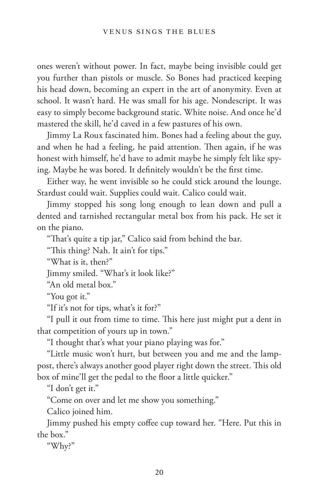ones weren't without power. In fact, maybe being invisible could get you further than pistols or muscle. So Bones had practiced keeping his head down, becoming an expert in the art of anonymity. Even at school. It wasn't hard. He was small for his age. Nondescript. It was easy to simply become background static. White noise. And once he'd mastered the skill, he'd caved in a few pastures of his own.

Jimmy La Roux fascinated him. Bones had a feeling about the guy, and when he had a feeling, he paid attention. Then again, if he was honest with himself, he'd have to admit maybe he simply felt like spying. Maybe he was bored. It definitely wouldn't be the first time.

Either way, he went invisible so he could stick around the lounge. Stardust could wait. Supplies could wait. Calico could wait.

Jimmy stopped his song long enough to lean down and pull a dented and tarnished rectangular metal box from his pack. He set it on the piano.

"That's quite a tip jar," Calico said from behind the bar.

"This thing? Nah. It ain't for tips."

"What is it, then?"

Jimmy smiled. "What's it look like?"

"An old metal box."

"You got it."

"If it's not for tips, what's it for?"

"I pull it out from time to time. This here just might put a dent in that competition of yours up in town."

"I thought that's what your piano playing was for."

"Little music won't hurt, but between you and me and the lamppost, there's always another good player right down the street. This old box of mine'll get the pedal to the floor a little quicker."

"I don't get it."

"Come on over and let me show you something."

Calico joined him.

Jimmy pushed his empty coffee cup toward her. "Here. Put this in the box."

"Why?"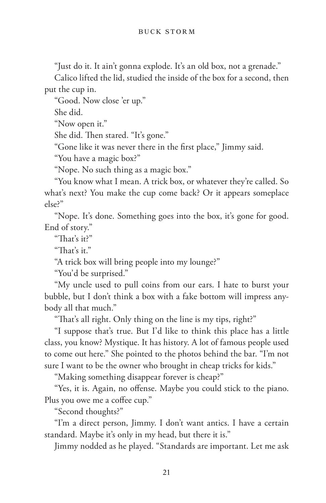"Just do it. It ain't gonna explode. It's an old box, not a grenade."

Calico lifted the lid, studied the inside of the box for a second, then put the cup in.

"Good. Now close 'er up."

She did.

"Now open it."

She did. Then stared. "It's gone."

"Gone like it was never there in the first place," Jimmy said.

"You have a magic box?"

"Nope. No such thing as a magic box."

"You know what I mean. A trick box, or whatever they're called. So what's next? You make the cup come back? Or it appears someplace else?"

"Nope. It's done. Something goes into the box, it's gone for good. End of story."

"That's it?"

"That's it."

"A trick box will bring people into my lounge?"

"You'd be surprised."

"My uncle used to pull coins from our ears. I hate to burst your bubble, but I don't think a box with a fake bottom will impress anybody all that much."

"That's all right. Only thing on the line is my tips, right?"

"I suppose that's true. But I'd like to think this place has a little class, you know? Mystique. It has history. A lot of famous people used to come out here." She pointed to the photos behind the bar. "I'm not sure I want to be the owner who brought in cheap tricks for kids."

"Making something disappear forever is cheap?"

"Yes, it is. Again, no offense. Maybe you could stick to the piano. Plus you owe me a coffee cup."

"Second thoughts?"

"I'm a direct person, Jimmy. I don't want antics. I have a certain standard. Maybe it's only in my head, but there it is."

Jimmy nodded as he played. "Standards are important. Let me ask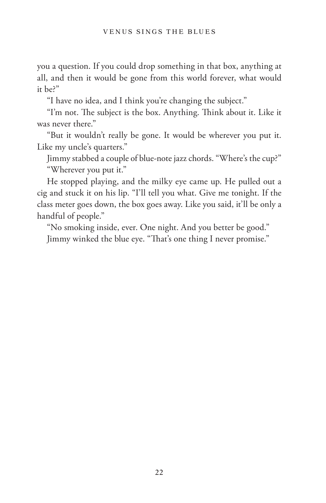you a question. If you could drop something in that box, anything at all, and then it would be gone from this world forever, what would it be?"

"I have no idea, and I think you're changing the subject."

"I'm not. The subject is the box. Anything. Think about it. Like it was never there."

"But it wouldn't really be gone. It would be wherever you put it. Like my uncle's quarters."

Jimmy stabbed a couple of blue-note jazz chords. "Where's the cup?" "Wherever you put it."

He stopped playing, and the milky eye came up. He pulled out a cig and stuck it on his lip. "I'll tell you what. Give me tonight. If the class meter goes down, the box goes away. Like you said, it'll be only a handful of people."

"No smoking inside, ever. One night. And you better be good." Jimmy winked the blue eye. "That's one thing I never promise."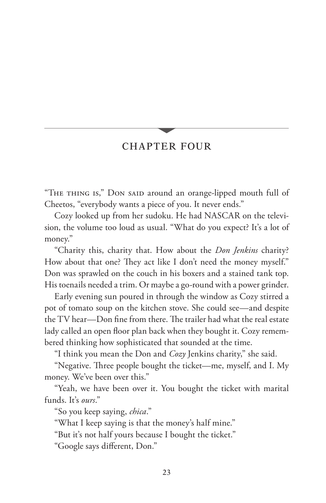## CHAPTER FOUR

"THE THING IS," DON SAID around an orange-lipped mouth full of Cheetos, "everybody wants a piece of you. It never ends."

Cozy looked up from her sudoku. He had NASCAR on the television, the volume too loud as usual. "What do you expect? It's a lot of money."

"Charity this, charity that. How about the *Don Jenkins* charity? How about that one? They act like I don't need the money myself." Don was sprawled on the couch in his boxers and a stained tank top. His toenails needed a trim. Or maybe a go-round with a power grinder.

Early evening sun poured in through the window as Cozy stirred a pot of tomato soup on the kitchen stove. She could see—and despite the TV hear—Don fine from there. The trailer had what the real estate lady called an open floor plan back when they bought it. Cozy remembered thinking how sophisticated that sounded at the time.

"I think you mean the Don and *Cozy* Jenkins charity," she said.

"Negative. Three people bought the ticket—me, myself, and I. My money. We've been over this."

"Yeah, we have been over it. You bought the ticket with marital funds. It's *ours*."

"So you keep saying, *chica*."

"What I keep saying is that the money's half mine."

"But it's not half yours because I bought the ticket."

"Google says different, Don."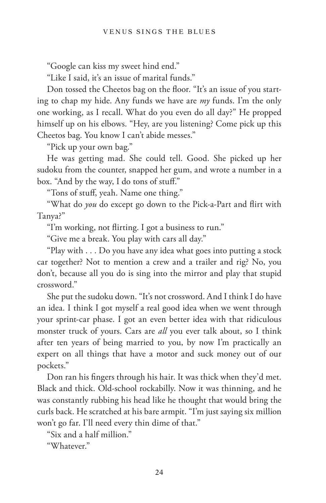"Google can kiss my sweet hind end."

"Like I said, it's an issue of marital funds."

Don tossed the Cheetos bag on the floor. "It's an issue of you starting to chap my hide. Any funds we have are *my* funds. I'm the only one working, as I recall. What do you even do all day?" He propped himself up on his elbows. "Hey, are you listening? Come pick up this Cheetos bag. You know I can't abide messes."

"Pick up your own bag."

He was getting mad. She could tell. Good. She picked up her sudoku from the counter, snapped her gum, and wrote a number in a box. "And by the way, I do tons of stuff."

"Tons of stuff, yeah. Name one thing."

"What do *you* do except go down to the Pick-a-Part and flirt with Tanya?"

"I'm working, not flirting. I got a business to run."

"Give me a break. You play with cars all day."

"Play with . . . Do you have any idea what goes into putting a stock car together? Not to mention a crew and a trailer and rig? No, you don't, because all you do is sing into the mirror and play that stupid crossword."

She put the sudoku down. "It's not crossword. And I think I do have an idea. I think I got myself a real good idea when we went through your sprint-car phase. I got an even better idea with that ridiculous monster truck of yours. Cars are *all* you ever talk about, so I think after ten years of being married to you, by now I'm practically an expert on all things that have a motor and suck money out of our pockets."

Don ran his fingers through his hair. It was thick when they'd met. Black and thick. Old-school rockabilly. Now it was thinning, and he was constantly rubbing his head like he thought that would bring the curls back. He scratched at his bare armpit. "I'm just saying six million won't go far. I'll need every thin dime of that."

"Six and a half million."

"Whatever."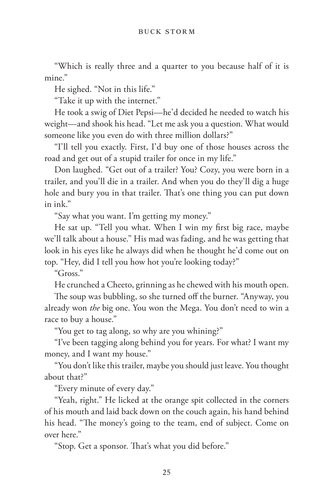"Which is really three and a quarter to you because half of it is mine."

He sighed. "Not in this life."

"Take it up with the internet."

He took a swig of Diet Pepsi—he'd decided he needed to watch his weight—and shook his head. "Let me ask you a question. What would someone like you even do with three million dollars?"

"I'll tell you exactly. First, I'd buy one of those houses across the road and get out of a stupid trailer for once in my life."

Don laughed. "Get out of a trailer? You? Cozy, you were born in a trailer, and you'll die in a trailer. And when you do they'll dig a huge hole and bury you in that trailer. That's one thing you can put down in ink."

"Say what you want. I'm getting my money."

He sat up. "Tell you what. When I win my first big race, maybe we'll talk about a house." His mad was fading, and he was getting that look in his eyes like he always did when he thought he'd come out on top. "Hey, did I tell you how hot you're looking today?"

"Gross."

He crunched a Cheeto, grinning as he chewed with his mouth open.

The soup was bubbling, so she turned off the burner. "Anyway, you already won *the* big one. You won the Mega. You don't need to win a race to buy a house."

"You get to tag along, so why are you whining?"

"I've been tagging along behind you for years. For what? I want my money, and I want my house."

"You don't like this trailer, maybe you should just leave. You thought about that?"

"Every minute of every day."

"Yeah, right." He licked at the orange spit collected in the corners of his mouth and laid back down on the couch again, his hand behind his head. "The money's going to the team, end of subject. Come on over here."

"Stop. Get a sponsor. That's what you did before."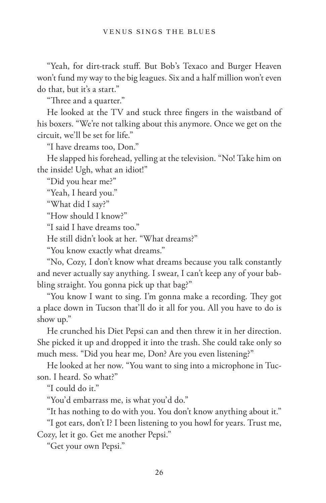"Yeah, for dirt-track stuff. But Bob's Texaco and Burger Heaven won't fund my way to the big leagues. Six and a half million won't even do that, but it's a start."

"Three and a quarter."

He looked at the TV and stuck three fingers in the waistband of his boxers. "We're not talking about this anymore. Once we get on the circuit, we'll be set for life."

"I have dreams too, Don."

He slapped his forehead, yelling at the television. "No! Take him on the inside! Ugh, what an idiot!"

"Did you hear me?"

"Yeah, I heard you."

"What did I say?"

"How should I know?"

"I said I have dreams too."

He still didn't look at her. "What dreams?"

"You know exactly what dreams."

"No, Cozy, I don't know what dreams because you talk constantly and never actually say anything. I swear, I can't keep any of your babbling straight. You gonna pick up that bag?"

"You know I want to sing. I'm gonna make a recording. They got a place down in Tucson that'll do it all for you. All you have to do is show up."

He crunched his Diet Pepsi can and then threw it in her direction. She picked it up and dropped it into the trash. She could take only so much mess. "Did you hear me, Don? Are you even listening?"

He looked at her now. "You want to sing into a microphone in Tucson. I heard. So what?"

"I could do it."

"You'd embarrass me, is what you'd do."

"It has nothing to do with you. You don't know anything about it."

"I got ears, don't I? I been listening to you howl for years. Trust me, Cozy, let it go. Get me another Pepsi."

"Get your own Pepsi."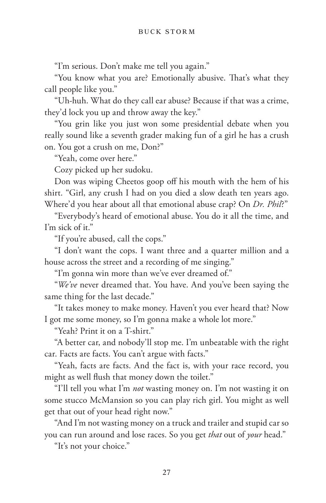"I'm serious. Don't make me tell you again."

"You know what you are? Emotionally abusive. That's what they call people like you."

"Uh-huh. What do they call ear abuse? Because if that was a crime, they'd lock you up and throw away the key."

"You grin like you just won some presidential debate when you really sound like a seventh grader making fun of a girl he has a crush on. You got a crush on me, Don?"

"Yeah, come over here."

Cozy picked up her sudoku.

Don was wiping Cheetos goop off his mouth with the hem of his shirt. "Girl, any crush I had on you died a slow death ten years ago. Where'd you hear about all that emotional abuse crap? On *Dr. Phil*?"

"Everybody's heard of emotional abuse. You do it all the time, and I'm sick of it."

"If you're abused, call the cops."

"I don't want the cops. I want three and a quarter million and a house across the street and a recording of me singing."

"I'm gonna win more than we've ever dreamed of."

"*We've* never dreamed that. You have. And you've been saying the same thing for the last decade."

"It takes money to make money. Haven't you ever heard that? Now I got me some money, so I'm gonna make a whole lot more."

"Yeah? Print it on a T-shirt."

"A better car, and nobody'll stop me. I'm unbeatable with the right car. Facts are facts. You can't argue with facts."

"Yeah, facts are facts. And the fact is, with your race record, you might as well flush that money down the toilet."

"I'll tell you what I'm *not* wasting money on. I'm not wasting it on some stucco McMansion so you can play rich girl. You might as well get that out of your head right now."

"And I'm not wasting money on a truck and trailer and stupid car so you can run around and lose races. So you get *that* out of *your* head."

"It's not your choice."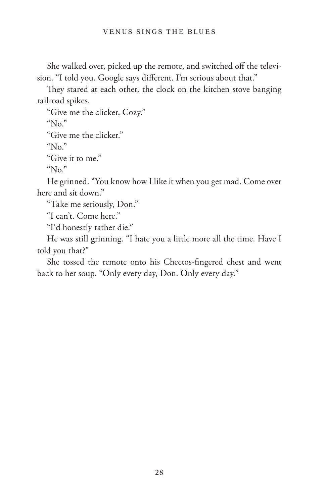She walked over, picked up the remote, and switched off the television. "I told you. Google says different. I'm serious about that."

They stared at each other, the clock on the kitchen stove banging railroad spikes.

"Give me the clicker, Cozy."

" $No$ "

"Give me the clicker."

" $No.$ "

"Give it to me."

" $N_0$ "

He grinned. "You know how I like it when you get mad. Come over here and sit down."

"Take me seriously, Don."

"I can't. Come here."

"I'd honestly rather die."

He was still grinning. "I hate you a little more all the time. Have I told you that?"

She tossed the remote onto his Cheetos-fingered chest and went back to her soup. "Only every day, Don. Only every day."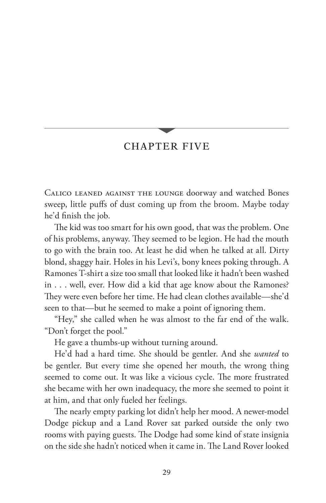## CHAPTER FIVE

Calico leaned against the lounge doorway and watched Bones sweep, little puffs of dust coming up from the broom. Maybe today he'd finish the job.

The kid was too smart for his own good, that was the problem. One of his problems, anyway. They seemed to be legion. He had the mouth to go with the brain too. At least he did when he talked at all. Dirty blond, shaggy hair. Holes in his Levi's, bony knees poking through. A Ramones T-shirt a size too small that looked like it hadn't been washed in . . . well, ever. How did a kid that age know about the Ramones? They were even before her time. He had clean clothes available—she'd seen to that—but he seemed to make a point of ignoring them.

"Hey," she called when he was almost to the far end of the walk. "Don't forget the pool."

He gave a thumbs-up without turning around.

He'd had a hard time. She should be gentler. And she *wanted* to be gentler. But every time she opened her mouth, the wrong thing seemed to come out. It was like a vicious cycle. The more frustrated she became with her own inadequacy, the more she seemed to point it at him, and that only fueled her feelings.

The nearly empty parking lot didn't help her mood. A newer-model Dodge pickup and a Land Rover sat parked outside the only two rooms with paying guests. The Dodge had some kind of state insignia on the side she hadn't noticed when it came in. The Land Rover looked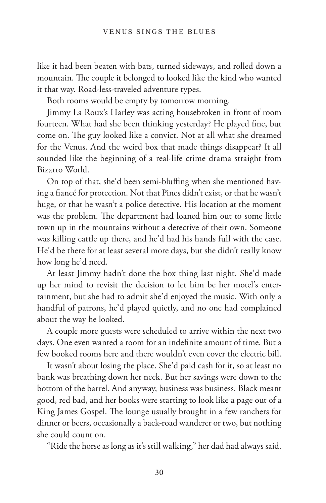like it had been beaten with bats, turned sideways, and rolled down a mountain. The couple it belonged to looked like the kind who wanted it that way. Road-less-traveled adventure types.

Both rooms would be empty by tomorrow morning.

Jimmy La Roux's Harley was acting housebroken in front of room fourteen. What had she been thinking yesterday? He played fine, but come on. The guy looked like a convict. Not at all what she dreamed for the Venus. And the weird box that made things disappear? It all sounded like the beginning of a real-life crime drama straight from Bizarro World.

On top of that, she'd been semi-bluffing when she mentioned having a fiancé for protection. Not that Pines didn't exist, or that he wasn't huge, or that he wasn't a police detective. His location at the moment was the problem. The department had loaned him out to some little town up in the mountains without a detective of their own. Someone was killing cattle up there, and he'd had his hands full with the case. He'd be there for at least several more days, but she didn't really know how long he'd need.

At least Jimmy hadn't done the box thing last night. She'd made up her mind to revisit the decision to let him be her motel's entertainment, but she had to admit she'd enjoyed the music. With only a handful of patrons, he'd played quietly, and no one had complained about the way he looked.

A couple more guests were scheduled to arrive within the next two days. One even wanted a room for an indefinite amount of time. But a few booked rooms here and there wouldn't even cover the electric bill.

It wasn't about losing the place. She'd paid cash for it, so at least no bank was breathing down her neck. But her savings were down to the bottom of the barrel. And anyway, business was business. Black meant good, red bad, and her books were starting to look like a page out of a King James Gospel. The lounge usually brought in a few ranchers for dinner or beers, occasionally a back-road wanderer or two, but nothing she could count on.

"Ride the horse as long as it's still walking," her dad had always said.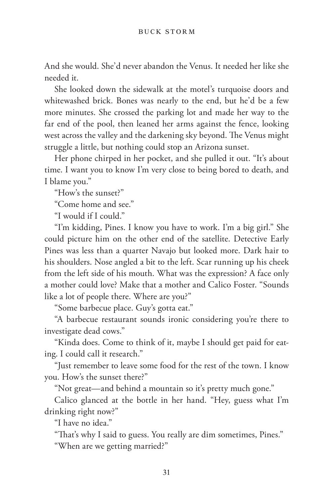And she would. She'd never abandon the Venus. It needed her like she needed it.

She looked down the sidewalk at the motel's turquoise doors and whitewashed brick. Bones was nearly to the end, but he'd be a few more minutes. She crossed the parking lot and made her way to the far end of the pool, then leaned her arms against the fence, looking west across the valley and the darkening sky beyond. The Venus might struggle a little, but nothing could stop an Arizona sunset.

Her phone chirped in her pocket, and she pulled it out. "It's about time. I want you to know I'm very close to being bored to death, and I blame you."

"How's the sunset?"

"Come home and see."

"I would if I could."

"I'm kidding, Pines. I know you have to work. I'm a big girl." She could picture him on the other end of the satellite. Detective Early Pines was less than a quarter Navajo but looked more. Dark hair to his shoulders. Nose angled a bit to the left. Scar running up his cheek from the left side of his mouth. What was the expression? A face only a mother could love? Make that a mother and Calico Foster. "Sounds like a lot of people there. Where are you?"

"Some barbecue place. Guy's gotta eat."

"A barbecue restaurant sounds ironic considering you're there to investigate dead cows."

"Kinda does. Come to think of it, maybe I should get paid for eating. I could call it research."

"Just remember to leave some food for the rest of the town. I know you. How's the sunset there?"

"Not great—and behind a mountain so it's pretty much gone."

Calico glanced at the bottle in her hand. "Hey, guess what I'm drinking right now?"

"I have no idea."

"That's why I said to guess. You really are dim sometimes, Pines." "When are we getting married?"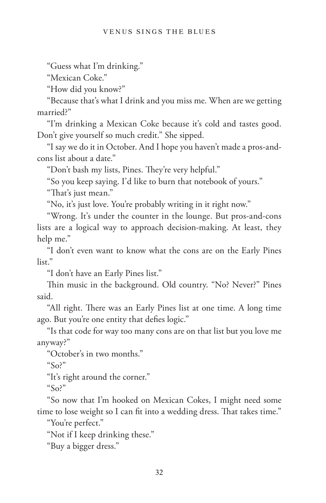"Guess what I'm drinking."

"Mexican Coke."

"How did you know?"

"Because that's what I drink and you miss me. When are we getting married?"

"I'm drinking a Mexican Coke because it's cold and tastes good. Don't give yourself so much credit." She sipped.

"I say we do it in October. And I hope you haven't made a pros-andcons list about a date."

"Don't bash my lists, Pines. They're very helpful."

"So you keep saying. I'd like to burn that notebook of yours."

"That's just mean."

"No, it's just love. You're probably writing in it right now."

"Wrong. It's under the counter in the lounge. But pros-and-cons lists are a logical way to approach decision-making. At least, they help me."

"I don't even want to know what the cons are on the Early Pines list."

"I don't have an Early Pines list."

Thin music in the background. Old country. "No? Never?" Pines said.

"All right. There was an Early Pines list at one time. A long time ago. But you're one entity that defies logic."

"Is that code for way too many cons are on that list but you love me anyway?"

"October's in two months."

 $\sqrt{\text{SO}}^n$ 

"It's right around the corner."

 $\degree$ So?"

"So now that I'm hooked on Mexican Cokes, I might need some time to lose weight so I can fit into a wedding dress. That takes time."

"You're perfect."

"Not if I keep drinking these."

"Buy a bigger dress."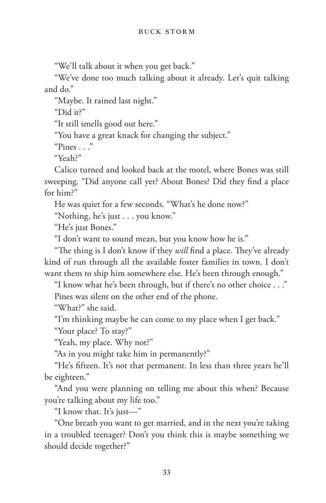"We'll talk about it when you get back."

"We've done too much talking about it already. Let's quit talking and do."

"Maybe. It rained last night."

"Did it?"

"It still smells good out here."

"You have a great knack for changing the subject."

"Pines . . ."

"Yeah?"

Calico turned and looked back at the motel, where Bones was still sweeping. "Did anyone call yet? About Bones? Did they find a place for him?"

He was quiet for a few seconds. "What's he done now?"

"Nothing, he's just . . . you know."

"He's just Bones."

"I don't want to sound mean, but you know how he is."

"The thing is I don't know if they *will* find a place. They've already kind of run through all the available foster families in town. I don't want them to ship him somewhere else. He's been through enough."

"I know what he's been through, but if there's no other choice . . ." Pines was silent on the other end of the phone.

"What?" she said.

"I'm thinking maybe he can come to my place when I get back."

"Your place? To stay?"

"Yeah, my place. Why not?"

"As in you might take him in permanently?"

"He's fifteen. It's not that permanent. In less than three years he'll be eighteen."

"And you were planning on telling me about this when? Because you're talking about my life too."

"I know that. It's just—"

"One breath you want to get married, and in the next you're taking in a troubled teenager? Don't you think this is maybe something we should decide together?"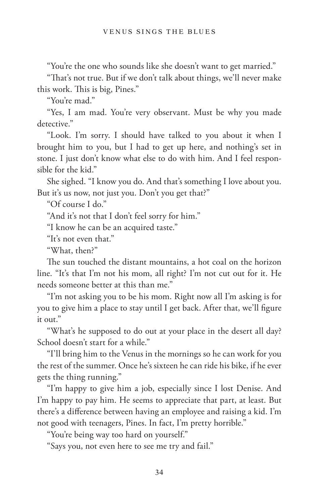"You're the one who sounds like she doesn't want to get married."

"That's not true. But if we don't talk about things, we'll never make this work. This is big, Pines."

"You're mad."

"Yes, I am mad. You're very observant. Must be why you made detective<sup>"</sup>

"Look. I'm sorry. I should have talked to you about it when I brought him to you, but I had to get up here, and nothing's set in stone. I just don't know what else to do with him. And I feel responsible for the kid."

She sighed. "I know you do. And that's something I love about you. But it's us now, not just you. Don't you get that?"

"Of course I do."

"And it's not that I don't feel sorry for him."

"I know he can be an acquired taste."

"It's not even that."

"What, then?"

The sun touched the distant mountains, a hot coal on the horizon line. "It's that I'm not his mom, all right? I'm not cut out for it. He needs someone better at this than me."

"I'm not asking you to be his mom. Right now all I'm asking is for you to give him a place to stay until I get back. After that, we'll figure it out."

"What's he supposed to do out at your place in the desert all day? School doesn't start for a while."

"I'll bring him to the Venus in the mornings so he can work for you the rest of the summer. Once he's sixteen he can ride his bike, if he ever gets the thing running."

"I'm happy to give him a job, especially since I lost Denise. And I'm happy to pay him. He seems to appreciate that part, at least. But there's a difference between having an employee and raising a kid. I'm not good with teenagers, Pines. In fact, I'm pretty horrible."

"You're being way too hard on yourself."

"Says you, not even here to see me try and fail."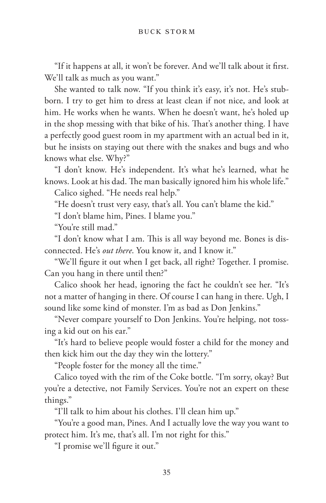"If it happens at all, it won't be forever. And we'll talk about it first. We'll talk as much as you want."

She wanted to talk now. "If you think it's easy, it's not. He's stubborn. I try to get him to dress at least clean if not nice, and look at him. He works when he wants. When he doesn't want, he's holed up in the shop messing with that bike of his. That's another thing. I have a perfectly good guest room in my apartment with an actual bed in it, but he insists on staying out there with the snakes and bugs and who knows what else. Why?"

"I don't know. He's independent. It's what he's learned, what he knows. Look at his dad. The man basically ignored him his whole life."

Calico sighed. "He needs real help."

"He doesn't trust very easy, that's all. You can't blame the kid."

"I don't blame him, Pines. I blame you."

"You're still mad."

"I don't know what I am. This is all way beyond me. Bones is disconnected. He's *out there*. You know it, and I know it."

"We'll figure it out when I get back, all right? Together. I promise. Can you hang in there until then?"

Calico shook her head, ignoring the fact he couldn't see her. "It's not a matter of hanging in there. Of course I can hang in there. Ugh, I sound like some kind of monster. I'm as bad as Don Jenkins."

"Never compare yourself to Don Jenkins. You're helping, not tossing a kid out on his ear."

"It's hard to believe people would foster a child for the money and then kick him out the day they win the lottery."

"People foster for the money all the time."

Calico toyed with the rim of the Coke bottle. "I'm sorry, okay? But you're a detective, not Family Services. You're not an expert on these things."

"I'll talk to him about his clothes. I'll clean him up."

"You're a good man, Pines. And I actually love the way you want to protect him. It's me, that's all. I'm not right for this."

"I promise we'll figure it out."